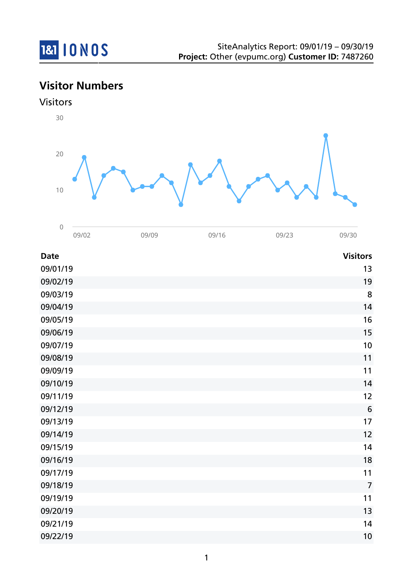

## **Visitor Numbers**

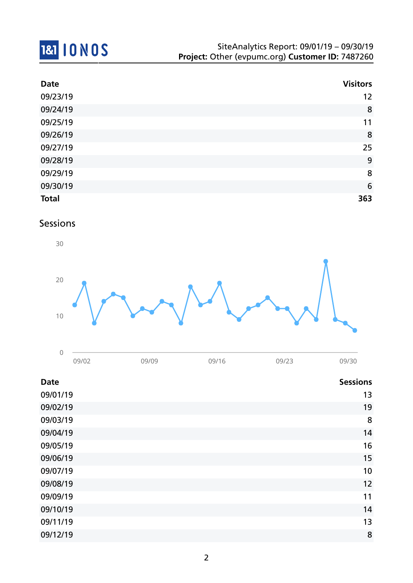# **1&1 10 NOS**

| <b>Date</b>  | <b>Visitors</b> |
|--------------|-----------------|
| 09/23/19     | 12              |
| 09/24/19     | 8               |
| 09/25/19     | 11              |
| 09/26/19     | 8               |
| 09/27/19     | 25              |
| 09/28/19     | 9               |
| 09/29/19     | 8               |
| 09/30/19     | 6               |
| <b>Total</b> | 363             |

### Sessions



| 09/02 | 79/09 | 09/16 | 09/23 | 09/30 |
|-------|-------|-------|-------|-------|

| <b>Date</b> | <b>Sessions</b> |
|-------------|-----------------|
| 09/01/19    | 13              |
| 09/02/19    | 19              |
| 09/03/19    | 8               |
| 09/04/19    | 14              |
| 09/05/19    | 16              |
| 09/06/19    | 15              |
| 09/07/19    | 10              |
| 09/08/19    | 12              |
| 09/09/19    | 11              |
| 09/10/19    | 14              |
| 09/11/19    | 13              |
| 09/12/19    | 8               |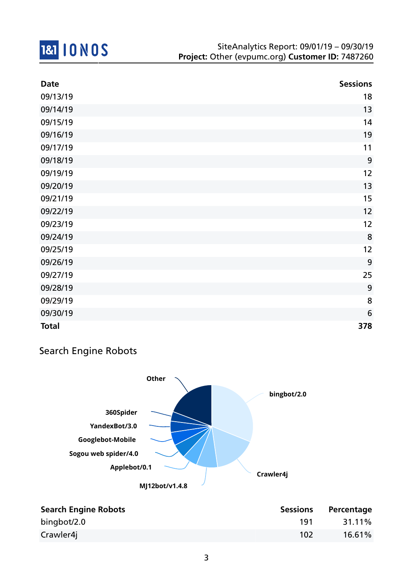

| <b>Date</b>  | <b>Sessions</b> |
|--------------|-----------------|
| 09/13/19     | 18              |
| 09/14/19     | 13              |
| 09/15/19     | 14              |
| 09/16/19     | 19              |
| 09/17/19     | 11              |
| 09/18/19     | 9               |
| 09/19/19     | 12              |
| 09/20/19     | 13              |
| 09/21/19     | 15              |
| 09/22/19     | 12              |
| 09/23/19     | 12              |
| 09/24/19     | 8               |
| 09/25/19     | 12              |
| 09/26/19     | 9               |
| 09/27/19     | 25              |
| 09/28/19     | 9               |
| 09/29/19     | 8               |
| 09/30/19     | 6               |
| <b>Total</b> | 378             |

## Search Engine Robots



| <b>Search Engine Robots</b> | <b>Sessions</b> | Percentage |
|-----------------------------|-----------------|------------|
| bingbot/2.0                 | 191             | 31.11%     |
| Crawler4j                   | 102             | 16.61%     |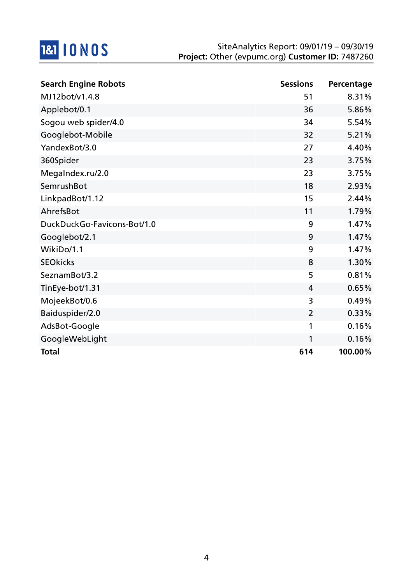

| <b>Search Engine Robots</b> | <b>Sessions</b> | Percentage |
|-----------------------------|-----------------|------------|
| MJ12bot/v1.4.8              | 51              | 8.31%      |
| Applebot/0.1                | 36              | 5.86%      |
| Sogou web spider/4.0        | 34              | 5.54%      |
| Googlebot-Mobile            | 32              | 5.21%      |
| YandexBot/3.0               | 27              | 4.40%      |
| 360Spider                   | 23              | 3.75%      |
| MegaIndex.ru/2.0            | 23              | 3.75%      |
| <b>SemrushBot</b>           | 18              | 2.93%      |
| LinkpadBot/1.12             | 15              | 2.44%      |
| AhrefsBot                   | 11              | 1.79%      |
| DuckDuckGo-Favicons-Bot/1.0 | 9               | 1.47%      |
| Googlebot/2.1               | 9               | 1.47%      |
| WikiDo/1.1                  | 9               | 1.47%      |
| <b>SEOkicks</b>             | 8               | 1.30%      |
| SeznamBot/3.2               | 5               | 0.81%      |
| TinEye-bot/1.31             | 4               | 0.65%      |
| MojeekBot/0.6               | 3               | 0.49%      |
| Baiduspider/2.0             | $\overline{2}$  | 0.33%      |
| AdsBot-Google               | 1               | 0.16%      |
| GoogleWebLight              | 1               | 0.16%      |
| <b>Total</b>                | 614             | 100.00%    |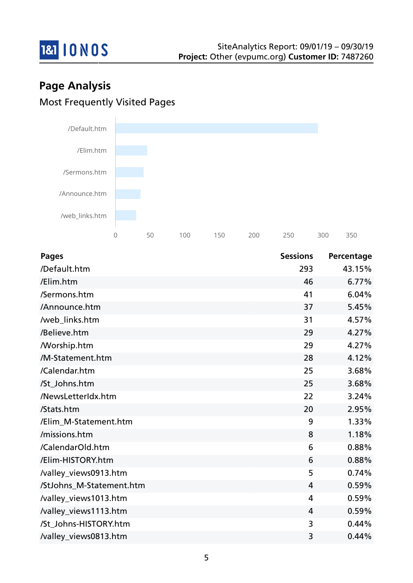

## **Page Analysis** Most Frequently Visited Pages



| <b>Pages</b>             | <b>Sessions</b> | Percentage |
|--------------------------|-----------------|------------|
| /Default.htm             | 293             | 43.15%     |
| /Elim.htm                | 46              | 6.77%      |
| /Sermons.htm             | 41              | 6.04%      |
| /Announce.htm            | 37              | 5.45%      |
| /web_links.htm           | 31              | 4.57%      |
| /Believe.htm             | 29              | 4.27%      |
| <b>Morship.htm</b>       | 29              | 4.27%      |
| /M-Statement.htm         | 28              | 4.12%      |
| /Calendar.htm            | 25              | 3.68%      |
| /St_Johns.htm            | 25              | 3.68%      |
| /NewsLetterIdx.htm       | 22              | 3.24%      |
| /Stats.htm               | 20              | 2.95%      |
| /Elim M-Statement.htm    | 9               | 1.33%      |
| /missions.htm            | 8               | 1.18%      |
| /CalendarOld.htm         | 6               | 0.88%      |
| /Elim-HISTORY.htm        | 6               | 0.88%      |
| /valley_views0913.htm    | 5               | 0.74%      |
| /StJohns_M-Statement.htm | $\overline{4}$  | 0.59%      |
| /valley_views1013.htm    | $\overline{4}$  | 0.59%      |
| /valley_views1113.htm    | $\overline{4}$  | 0.59%      |
| /St Johns-HISTORY.htm    | 3               | 0.44%      |
| /valley_views0813.htm    | 3               | 0.44%      |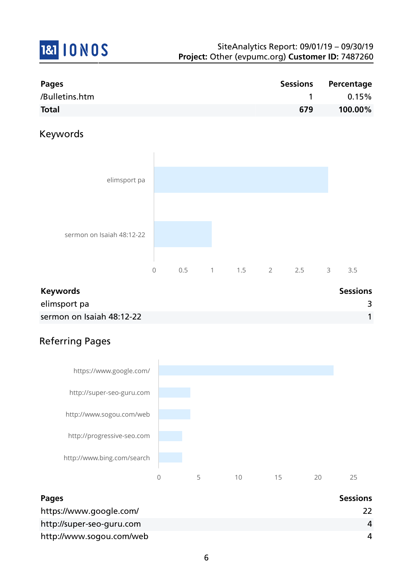# **1&1 10 NOS**

| Pages          |     | Sessions Percentage |
|----------------|-----|---------------------|
| /Bulletins.htm |     | 0.15%               |
| <b>Total</b>   | 679 | 100.00%             |

## Keywords



| <b>Keywords</b>           | <b>Sessions</b> |
|---------------------------|-----------------|
| elimsport pa              |                 |
| sermon on Isaiah 48:12-22 |                 |

## Referring Pages



| <b>Pages</b>              | <b>Sessions</b> |
|---------------------------|-----------------|
| https://www.google.com/   |                 |
| http://super-seo-guru.com | 4               |
| http://www.sogou.com/web  | 4               |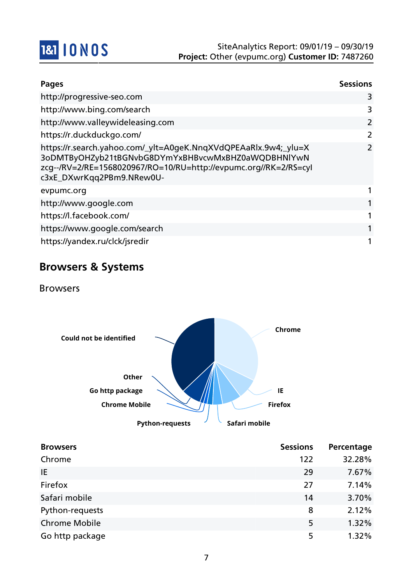

| <b>Pages</b>                                                                                                                                                                                                           | <b>Sessions</b>           |
|------------------------------------------------------------------------------------------------------------------------------------------------------------------------------------------------------------------------|---------------------------|
| http://progressive-seo.com                                                                                                                                                                                             | 3                         |
| http://www.bing.com/search                                                                                                                                                                                             | 3                         |
| http://www.valleywideleasing.com                                                                                                                                                                                       | $\overline{2}$            |
| https://r.duckduckgo.com/                                                                                                                                                                                              | 2                         |
| https://r.search.yahoo.com/_ylt=A0geK.NnqXVdQPEAaRlx.9w4;_ylu=X<br>3oDMTByOHZyb21tBGNvbG8DYmYxBHBvcwMxBHZ0aWQDBHNlYwN<br>zcg--/RV=2/RE=1568020967/RO=10/RU=http://evpumc.org//RK=2/RS=cyl<br>c3xE_DXwrKqq2PBm9.NRew0U- | $\mathbf{2}^{\mathsf{I}}$ |
| evpumc.org                                                                                                                                                                                                             |                           |
| http://www.google.com                                                                                                                                                                                                  |                           |
| https://l.facebook.com/                                                                                                                                                                                                |                           |
| https://www.google.com/search                                                                                                                                                                                          |                           |
| https://yandex.ru/clck/jsredir                                                                                                                                                                                         |                           |

## **Browsers & Systems**

Browsers



| <b>Browsers</b>      | <b>Sessions</b> | Percentage |
|----------------------|-----------------|------------|
| Chrome               | 122             | 32.28%     |
| IE                   | 29              | 7.67%      |
| Firefox              | 27              | 7.14%      |
| Safari mobile        | 14              | 3.70%      |
| Python-requests      | 8               | 2.12%      |
| <b>Chrome Mobile</b> | 5               | 1.32%      |
| Go http package      | 5               | 1.32%      |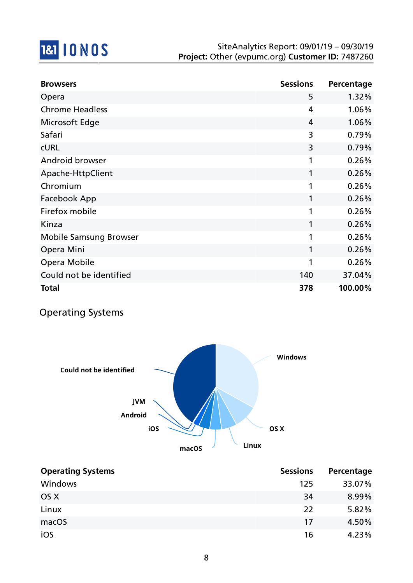

| <b>Browsers</b>               | <b>Sessions</b> | Percentage |
|-------------------------------|-----------------|------------|
| Opera                         | 5               | 1.32%      |
| <b>Chrome Headless</b>        | 4               | 1.06%      |
| Microsoft Edge                | 4               | 1.06%      |
| Safari                        | 3               | 0.79%      |
| <b>CURL</b>                   | 3               | 0.79%      |
| Android browser               | 1               | 0.26%      |
| Apache-HttpClient             | 1               | 0.26%      |
| Chromium                      | 1               | 0.26%      |
| Facebook App                  | 1               | 0.26%      |
| Firefox mobile                | 1               | 0.26%      |
| Kinza                         | 1               | 0.26%      |
| <b>Mobile Samsung Browser</b> | 1               | 0.26%      |
| Opera Mini                    | 1               | 0.26%      |
| Opera Mobile                  | 1               | 0.26%      |
| Could not be identified       | 140             | 37.04%     |
| <b>Total</b>                  | 378             | 100.00%    |

## Operating Systems



| <b>Operating Systems</b> | <b>Sessions</b> | Percentage |
|--------------------------|-----------------|------------|
| Windows                  | 125             | 33.07%     |
| OS X                     | 34              | 8.99%      |
| Linux                    | 22              | 5.82%      |
| macOS                    | 17              | 4.50%      |
| iOS                      | 16              | 4.23%      |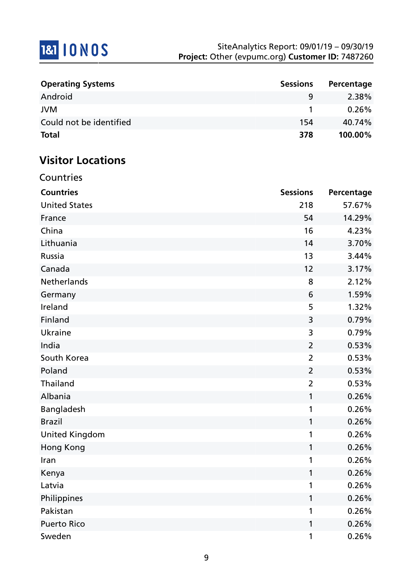## **1&1 10 NOS**

| <b>Operating Systems</b> | <b>Sessions</b> | Percentage |
|--------------------------|-----------------|------------|
| Android                  | q               | 2.38%      |
| <b>JVM</b>               |                 | $0.26\%$   |
| Could not be identified  | 154             | 40.74%     |
| <b>Total</b>             | 378             | 100.00%    |

## **Visitor Locations**

| Countries             |                 |            |
|-----------------------|-----------------|------------|
| <b>Countries</b>      | <b>Sessions</b> | Percentage |
| <b>United States</b>  | 218             | 57.67%     |
| France                | 54              | 14.29%     |
| China                 | 16              | 4.23%      |
| Lithuania             | 14              | 3.70%      |
| Russia                | 13              | 3.44%      |
| Canada                | 12              | 3.17%      |
| Netherlands           | 8               | 2.12%      |
| Germany               | 6               | 1.59%      |
| Ireland               | 5               | 1.32%      |
| Finland               | 3               | 0.79%      |
| Ukraine               | 3               | 0.79%      |
| India                 | $\overline{2}$  | 0.53%      |
| South Korea           | $\overline{2}$  | 0.53%      |
| Poland                | $\overline{2}$  | 0.53%      |
| Thailand              | $\overline{2}$  | 0.53%      |
| Albania               | 1               | 0.26%      |
| Bangladesh            | 1               | 0.26%      |
| <b>Brazil</b>         | 1               | 0.26%      |
| <b>United Kingdom</b> | 1               | 0.26%      |
| Hong Kong             | 1               | 0.26%      |
| Iran                  | 1               | 0.26%      |
| Kenya                 | 1               | 0.26%      |
| Latvia                |                 | 0.26%      |
| Philippines           | 1               | 0.26%      |
| Pakistan              | 1               | 0.26%      |
| <b>Puerto Rico</b>    | 1               | 0.26%      |
| Sweden                | 1               | 0.26%      |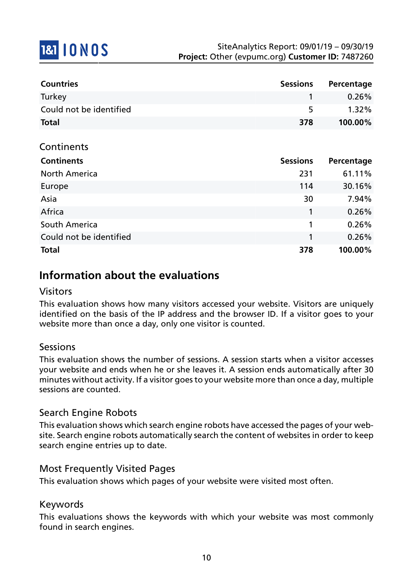

| <b>Countries</b>        | <b>Sessions</b> | Percentage |
|-------------------------|-----------------|------------|
| Turkey                  |                 | $0.26\%$   |
| Could not be identified | 5.              | $1.32\%$   |
| <b>Total</b>            | 378             | $100.00\%$ |

|  | Continents |
|--|------------|
|  |            |

| <b>Continents</b>       | <b>Sessions</b> | Percentage |
|-------------------------|-----------------|------------|
| <b>North America</b>    | 231             | 61.11%     |
| Europe                  | 114             | 30.16%     |
| Asia                    | 30              | 7.94%      |
| Africa                  |                 | 0.26%      |
| South America           | 1               | 0.26%      |
| Could not be identified | 1               | 0.26%      |
| <b>Total</b>            | 378             | 100.00%    |

## **Information about the evaluations**

#### Visitors

This evaluation shows how many visitors accessed your website. Visitors are uniquely identified on the basis of the IP address and the browser ID. If a visitor goes to your website more than once a day, only one visitor is counted.

### Sessions

This evaluation shows the number of sessions. A session starts when a visitor accesses your website and ends when he or she leaves it. A session ends automatically after 30 minutes without activity. If a visitor goes to your website more than once a day, multiple sessions are counted.

### Search Engine Robots

This evaluation shows which search engine robots have accessed the pages of your website. Search engine robots automatically search the content of websites in order to keep search engine entries up to date.

### Most Frequently Visited Pages

This evaluation shows which pages of your website were visited most often.

#### Keywords

This evaluations shows the keywords with which your website was most commonly found in search engines.